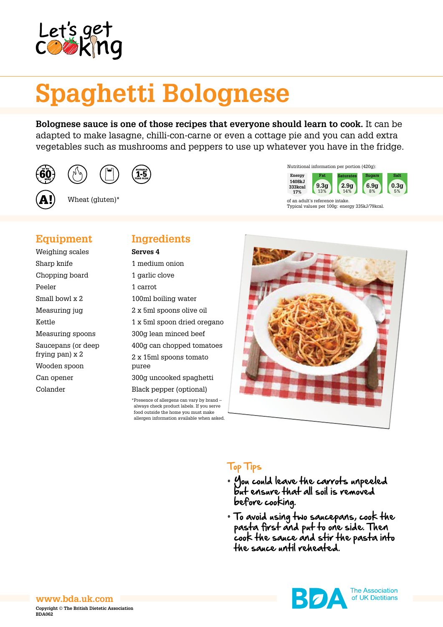

# **Spaghetti Bolognese**

**Bolognese sauce is one of those recipes that everyone should learn to cook.** It can be adapted to make lasagne, chilli-con-carne or even a cottage pie and you can add extra vegetables such as mushrooms and peppers to use up whatever you have in the fridge.



Wheat (gluten)\*



of an adult's reference intake. Typical values per 100g: energy 335kJ/79kcal.

# **Equipment**

Weighing scales Sharp knife Chopping board Peeler Small bowl x 2 Measuring jug Kettle Measuring spoons Saucepans (or deep frying pan) x 2 Wooden spoon Can opener Colander

# **Ingredients**

**Serves 4**

1 medium onion 1 garlic clove 1 carrot 100ml boiling water 2 x 5ml spoons olive oil 1 x 5ml spoon dried oregano 300g lean minced beef 400g can chopped tomatoes 2 x 15ml spoons tomato puree 300g uncooked spaghetti Black pepper (optional) \*Presence of allergens can vary by brand – always check product labels. If you serve food outside the home you must make

allergen information available when asked.



# Top Tips

- You could leave the carrots unpeeled but ensure that all soil is removed before cooking.
- To avoid using two saucepans, cook the pasta first and put to one side. Then cook the sauce and stir the pasta into the sauce until reheated.



**The Association** of UK Dietitians

#### **www.bda.uk.com Copyright © The British Dietetic Association BDA062**